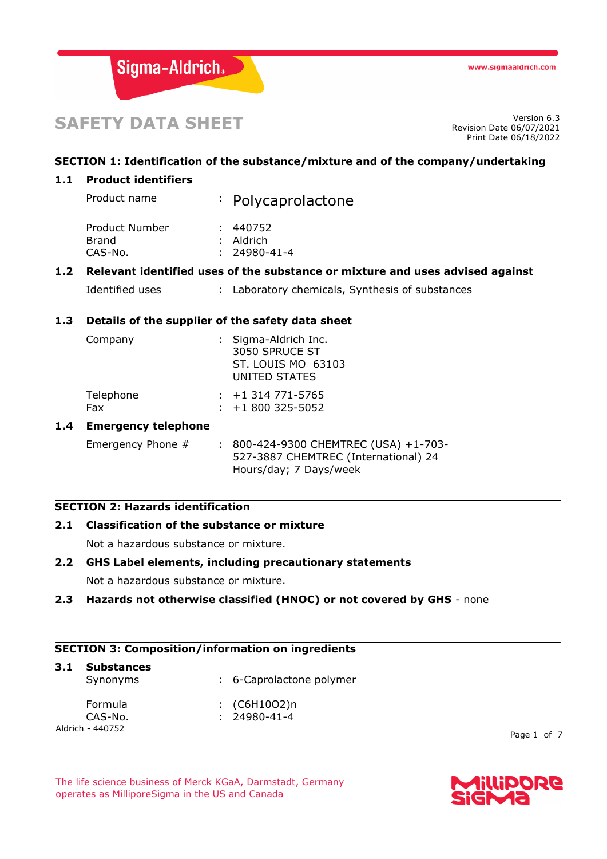

# **SAFETY DATA SHEET**

Revision Date 06/07/2021 Print Date 06/18/2022

## **SECTION 1: Identification of the substance/mixture and of the company/undertaking**

#### **1.1 Product identifiers**

| Product name                   | : Polycaprolactone      |
|--------------------------------|-------------------------|
| Product Number<br><b>Brand</b> | : 440752<br>$:$ Aldrich |
| CAS-No.                        | $: 24980 - 41 - 4$      |

## **1.2 Relevant identified uses of the substance or mixture and uses advised against**

```
Identified uses : Laboratory chemicals, Synthesis of substances
```
## **1.3 Details of the supplier of the safety data sheet**

| Company          | : Sigma-Aldrich Inc.<br>3050 SPRUCE ST<br>ST. LOUIS MO 63103<br>UNITED STATES |
|------------------|-------------------------------------------------------------------------------|
| Telephone<br>Fax | $\div$ +1 314 771-5765<br>$\div$ +1 800 325-5052                              |
|                  |                                                                               |

## **1.4 Emergency telephone**

Emergency Phone # : 800-424-9300 CHEMTREC (USA) +1-703-527-3887 CHEMTREC (International) 24 Hours/day; 7 Days/week

#### **SECTION 2: Hazards identification**

## **2.1 Classification of the substance or mixture**

Not a hazardous substance or mixture.

#### **2.2 GHS Label elements, including precautionary statements**

Not a hazardous substance or mixture.

#### **2.3 Hazards not otherwise classified (HNOC) or not covered by GHS** - none

#### **SECTION 3: Composition/information on ingredients**

| 3.1 | <b>Substances</b><br>Synonyms | : 6-Caprolactone polymer             |
|-----|-------------------------------|--------------------------------------|
|     | Formula<br>CAS-No.            | : $(C6H10O2)n$<br>$: 24980 - 41 - 4$ |
|     | Aldrich - 440752              |                                      |

Page 1 of 7

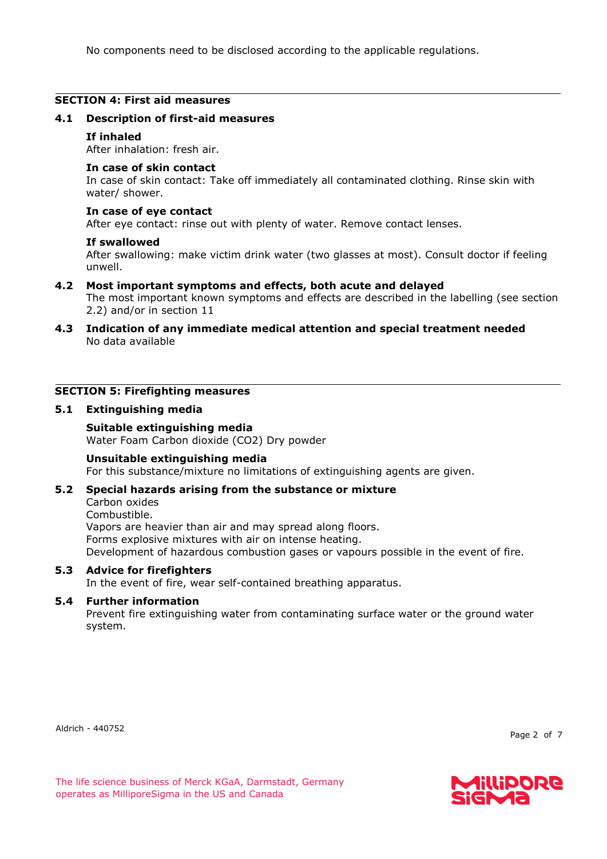No components need to be disclosed according to the applicable regulations.

#### **SECTION 4: First aid measures**

#### **4.1 Description of first-aid measures**

#### **If inhaled**

After inhalation: fresh air.

#### **In case of skin contact**

In case of skin contact: Take off immediately all contaminated clothing. Rinse skin with water/ shower.

#### **In case of eye contact**

After eye contact: rinse out with plenty of water. Remove contact lenses.

#### **If swallowed**

After swallowing: make victim drink water (two glasses at most). Consult doctor if feeling unwell.

## **4.2 Most important symptoms and effects, both acute and delayed**

The most important known symptoms and effects are described in the labelling (see section 2.2) and/or in section 11

**4.3 Indication of any immediate medical attention and special treatment needed** No data available

## **SECTION 5: Firefighting measures**

#### **5.1 Extinguishing media**

#### **Suitable extinguishing media**

Water Foam Carbon dioxide (CO2) Dry powder

#### **Unsuitable extinguishing media**

For this substance/mixture no limitations of extinguishing agents are given.

#### **5.2 Special hazards arising from the substance or mixture**

Carbon oxides

Combustible.

Vapors are heavier than air and may spread along floors. Forms explosive mixtures with air on intense heating. Development of hazardous combustion gases or vapours possible in the event of fire.

#### **5.3 Advice for firefighters**

In the event of fire, wear self-contained breathing apparatus.

#### **5.4 Further information**

Prevent fire extinguishing water from contaminating surface water or the ground water system.

Aldrich - 440752

Page 2 of 7

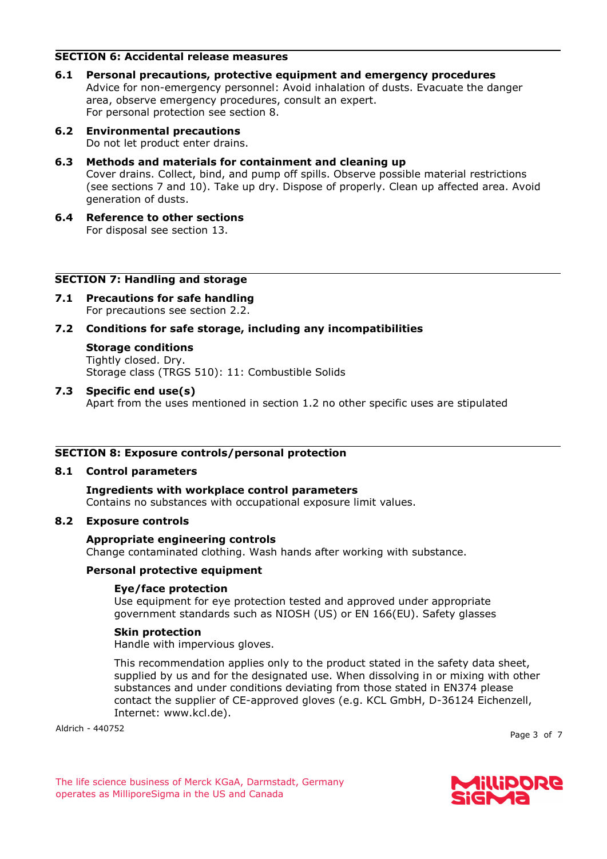#### **SECTION 6: Accidental release measures**

**6.1 Personal precautions, protective equipment and emergency procedures** Advice for non-emergency personnel: Avoid inhalation of dusts. Evacuate the danger area, observe emergency procedures, consult an expert. For personal protection see section 8.

## **6.2 Environmental precautions**

Do not let product enter drains.

**6.3 Methods and materials for containment and cleaning up**

Cover drains. Collect, bind, and pump off spills. Observe possible material restrictions (see sections 7 and 10). Take up dry. Dispose of properly. Clean up affected area. Avoid generation of dusts.

**6.4 Reference to other sections** For disposal see section 13.

## **SECTION 7: Handling and storage**

**7.1 Precautions for safe handling** For precautions see section 2.2.

## **7.2 Conditions for safe storage, including any incompatibilities**

## **Storage conditions**

Tightly closed. Dry. Storage class (TRGS 510): 11: Combustible Solids

**7.3 Specific end use(s)** Apart from the uses mentioned in section 1.2 no other specific uses are stipulated

## **SECTION 8: Exposure controls/personal protection**

#### **8.1 Control parameters**

**Ingredients with workplace control parameters** Contains no substances with occupational exposure limit values.

#### **8.2 Exposure controls**

#### **Appropriate engineering controls**

Change contaminated clothing. Wash hands after working with substance.

#### **Personal protective equipment**

#### **Eye/face protection**

Use equipment for eye protection tested and approved under appropriate government standards such as NIOSH (US) or EN 166(EU). Safety glasses

#### **Skin protection**

Handle with impervious gloves.

This recommendation applies only to the product stated in the safety data sheet, supplied by us and for the designated use. When dissolving in or mixing with other substances and under conditions deviating from those stated in EN374 please contact the supplier of CE-approved gloves (e.g. KCL GmbH, D-36124 Eichenzell, Internet: www.kcl.de).

Aldrich - 440752

Page 3 of 7

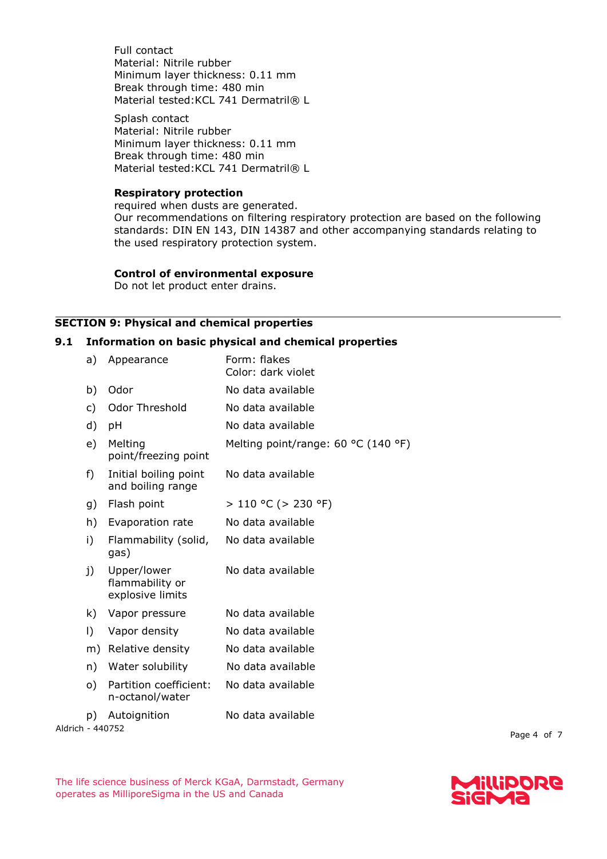Full contact Material: Nitrile rubber Minimum layer thickness: 0.11 mm Break through time: 480 min Material tested: KCL 741 Dermatril® L

Splash contact Material: Nitrile rubber Minimum layer thickness: 0.11 mm Break through time: 480 min Material tested: KCL 741 Dermatril® L

#### **Respiratory protection**

required when dusts are generated. Our recommendations on filtering respiratory protection are based on the following standards: DIN EN 143, DIN 14387 and other accompanying standards relating to the used respiratory protection system.

## **Control of environmental exposure**

Do not let product enter drains.

## **SECTION 9: Physical and chemical properties**

#### **9.1 Information on basic physical and chemical properties**

| a)        | Appearance                                         | Form: flakes<br>Color: dark violet  |
|-----------|----------------------------------------------------|-------------------------------------|
| b)        | Odor                                               | No data available                   |
| c)        | Odor Threshold                                     | No data available                   |
| d)        | рH                                                 | No data available                   |
| e)        | Melting<br>point/freezing point                    | Melting point/range: 60 °C (140 °F) |
| f)        | Initial boiling point<br>and boiling range         | No data available                   |
| g)        | Flash point                                        | > 110 °C (> 230 °F)                 |
| h)        | Evaporation rate                                   | No data available                   |
| i)        | Flammability (solid,<br>gas)                       | No data available                   |
| j)        | Upper/lower<br>flammability or<br>explosive limits | No data available                   |
| k)        | Vapor pressure                                     | No data available                   |
| $\vert$ ) | Vapor density                                      | No data available                   |
| m)        | Relative density                                   | No data available                   |
| n)        | Water solubility                                   | No data available                   |
| $\circ$ ) | Partition coefficient:<br>n-octanol/water          | No data available                   |
| p)        | Autoignition                                       | No data available                   |
|           |                                                    |                                     |

Aldrich - 440752

Page 4 of 7

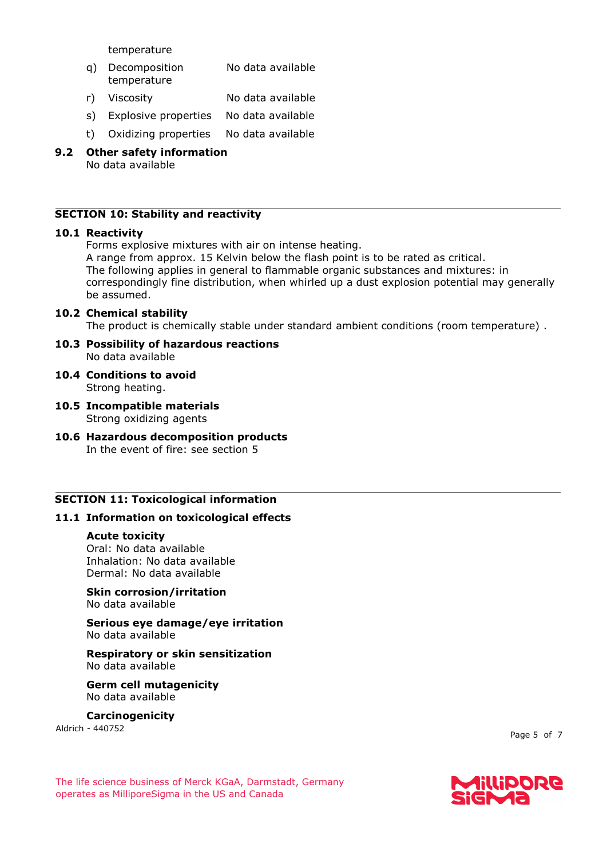temperature

- q) Decomposition temperature No data available
- r) Viscosity No data available
- s) Explosive properties No data available
- t) Oxidizing properties No data available
- **9.2 Other safety information** No data available

#### **SECTION 10: Stability and reactivity**

#### **10.1 Reactivity**

Forms explosive mixtures with air on intense heating.

A range from approx. 15 Kelvin below the flash point is to be rated as critical. The following applies in general to flammable organic substances and mixtures: in correspondingly fine distribution, when whirled up a dust explosion potential may generally be assumed.

#### **10.2 Chemical stability**

The product is chemically stable under standard ambient conditions (room temperature) .

- **10.3 Possibility of hazardous reactions** No data available
- **10.4 Conditions to avoid** Strong heating.
- **10.5 Incompatible materials** Strong oxidizing agents
- **10.6 Hazardous decomposition products** In the event of fire: see section 5

#### **SECTION 11: Toxicological information**

#### **11.1 Information on toxicological effects**

#### **Acute toxicity**

Oral: No data available Inhalation: No data available Dermal: No data available

#### **Skin corrosion/irritation** No data available

**Serious eye damage/eye irritation** No data available

**Respiratory or skin sensitization** No data available

**Germ cell mutagenicity** No data available

**Carcinogenicity**

Aldrich - 440752

Page 5 of 7

The life science business of Merck KGaA, Darmstadt, Germany operates as MilliporeSigma in the US and Canada

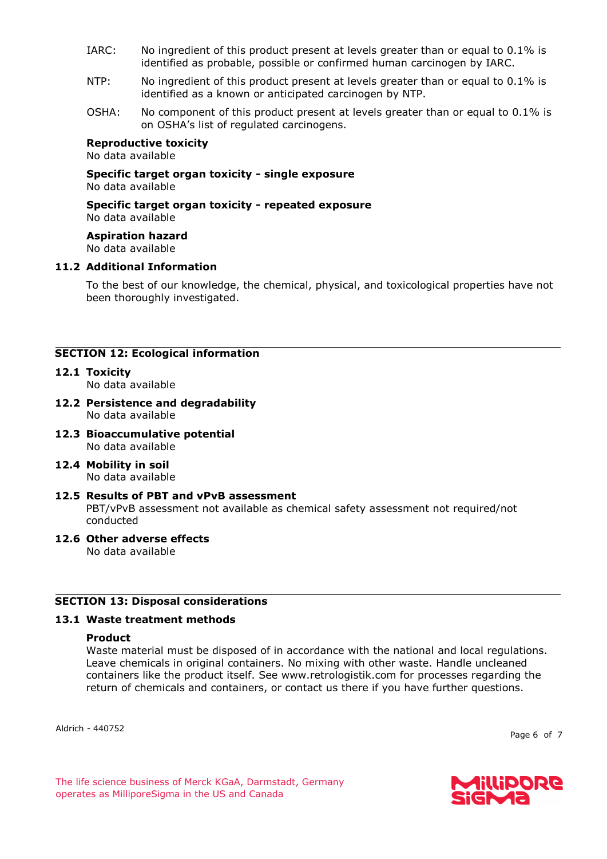- IARC: No ingredient of this product present at levels greater than or equal to 0.1% is identified as probable, possible or confirmed human carcinogen by IARC.
- NTP: No ingredient of this product present at levels greater than or equal to 0.1% is identified as a known or anticipated carcinogen by NTP.
- OSHA: No component of this product present at levels greater than or equal to 0.1% is on OSHA's list of regulated carcinogens.

#### **Reproductive toxicity**

No data available

**Specific target organ toxicity - single exposure** No data available

**Specific target organ toxicity - repeated exposure** No data available

**Aspiration hazard** No data available

#### **11.2 Additional Information**

To the best of our knowledge, the chemical, physical, and toxicological properties have not been thoroughly investigated.

#### **SECTION 12: Ecological information**

**12.1 Toxicity**

No data available

- **12.2 Persistence and degradability** No data available
- **12.3 Bioaccumulative potential** No data available
- **12.4 Mobility in soil** No data available
- **12.5 Results of PBT and vPvB assessment** PBT/vPvB assessment not available as chemical safety assessment not required/not conducted
- **12.6 Other adverse effects**

No data available

#### **SECTION 13: Disposal considerations**

#### **13.1 Waste treatment methods**

#### **Product**

Waste material must be disposed of in accordance with the national and local regulations. Leave chemicals in original containers. No mixing with other waste. Handle uncleaned containers like the product itself. See www.retrologistik.com for processes regarding the return of chemicals and containers, or contact us there if you have further questions.

Aldrich - 440752

Page 6 of 7